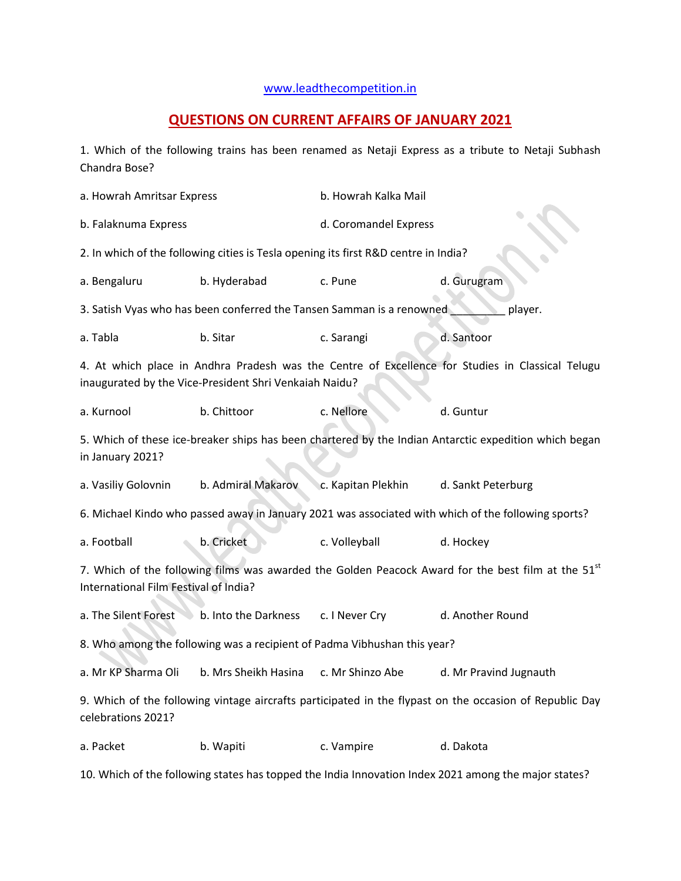## [www.leadthecompetition.in](http://www.leadthecompetition.in/)

## **QUESTIONS ON CURRENT AFFAIRS OF JANUARY 2021**

1. Which of the following trains has been renamed as Netaji Express as a tribute to Netaji Subhash Chandra Bose?

a. Howrah Amritsar Express b. Howrah Kalka Mail b. Falaknuma Express d. Coromandel Express 2. In which of the following cities is Tesla opening its first R&D centre in India? a. Bengaluru b. Hyderabad c. Pune d. Gurugram 3. Satish Vyas who has been conferred the Tansen Samman is a renowned \_\_\_\_\_\_\_\_\_\_\_ player. a. Tabla b. Sitar c. Sarangi d. Santoor 4. At which place in Andhra Pradesh was the Centre of Excellence for Studies in Classical Telugu inaugurated by the Vice-President Shri Venkaiah Naidu? a. Kurnool b. Chittoor c. Nellore d. Guntur 5. Which of these ice-breaker ships has been chartered by the Indian Antarctic expedition which began in January 2021? a. Vasiliy Golovnin b. Admiral Makarov c. Kapitan Plekhin d. Sankt Peterburg 6. Michael Kindo who passed away in January 2021 was associated with which of the following sports? a. Football b. Cricket c. Volleyball d. Hockey 7. Which of the following films was awarded the Golden Peacock Award for the best film at the  $51<sup>st</sup>$ International Film Festival of India? a. The Silent Forest b. Into the Darkness c. I Never Cry d. Another Round 8. Who among the following was a recipient of Padma Vibhushan this year? a. Mr KP Sharma Oli b. Mrs Sheikh Hasina c. Mr Shinzo Abe d. Mr Pravind Jugnauth 9. Which of the following vintage aircrafts participated in the flypast on the occasion of Republic Day celebrations 2021? a. Packet b. Wapiti c. Vampire d. Dakota 10. Which of the following states has topped the India Innovation Index 2021 among the major states?